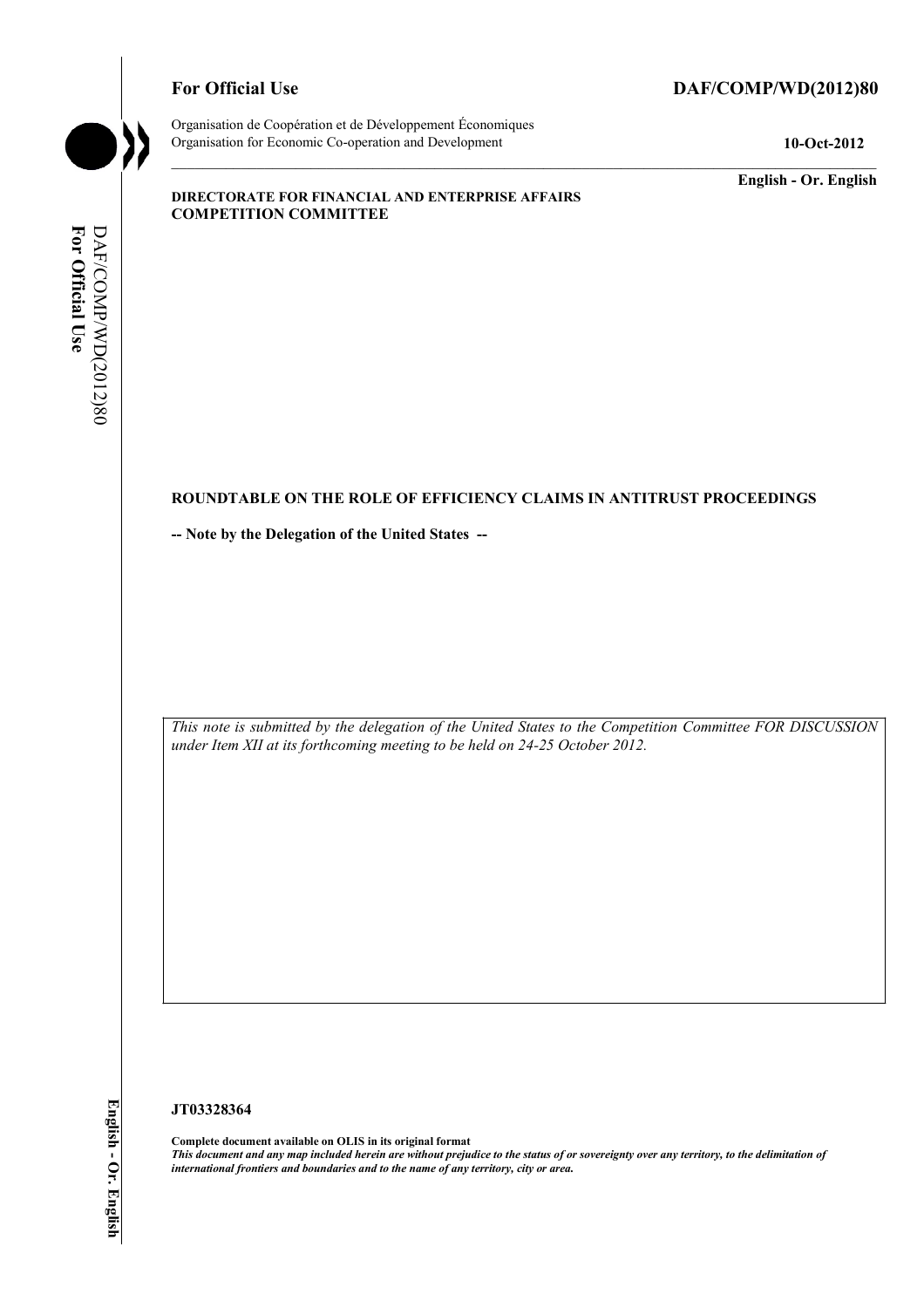#### For Official Use DAF/COMP/WD(2012)80



Organisation de Coopération et de Développement Économiques Organisation for Economic Co-operation and Development **10-Oct-2012** 

**English - Or. English** 

#### **DIRECTORATE FOR FINANCIAL AND ENTERPRISE AFFAIRS COMPETITION COMMITTEE**

# For Official Use DAF/COMP/WD(2012)80 **For Official Use**  DAF/COMP/WD(2012)80

#### **ROUNDTABLE ON THE ROLE OF EFFICIENCY CLAIMS IN ANTITRUST PROCEEDINGS**

**-- Note by the Delegation of the United States --** 

*This note is submitted by the delegation of the United States to the Competition Committee FOR DISCUSSION under Item XII at its forthcoming meeting to be held on 24-25 October 2012.* 

#### **JT03328364**

 **Complete document available on OLIS in its original format**   *This document and any map included herein are without prejudice to the status of or sovereignty over any territory, to the delimitation of international frontiers and boundaries and to the name of any territory, city or area.*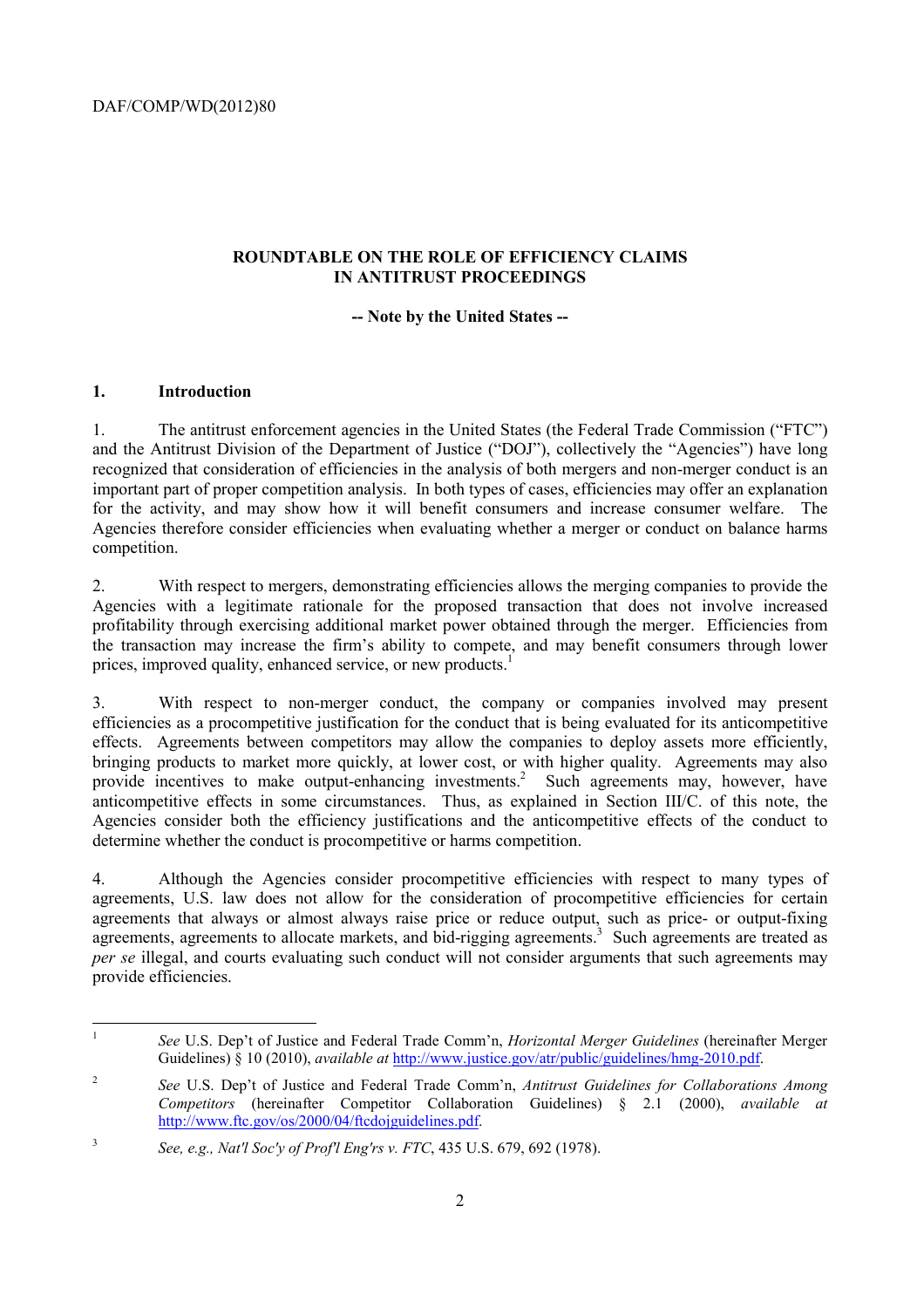## **ROUNDTABLE ON THE ROLE OF EFFICIENCY CLAIMS IN ANTITRUST PROCEEDINGS**

#### **-- Note by the United States --**

#### **1. Introduction**

 $\overline{a}$ 

 recognized that consideration of efficiencies in the analysis of both mergers and non-merger conduct is an for the activity, and may show how it will benefit consumers and increase consumer welfare. The 1. The antitrust enforcement agencies in the United States (the Federal Trade Commission ("FTC") and the Antitrust Division of the Department of Justice ("DOJ"), collectively the "Agencies") have long important part of proper competition analysis. In both types of cases, efficiencies may offer an explanation Agencies therefore consider efficiencies when evaluating whether a merger or conduct on balance harms competition.

2. With respect to mergers, demonstrating efficiencies allows the merging companies to provide the Agencies with a legitimate rationale for the proposed transaction that does not involve increased profitability through exercising additional market power obtained through the merger. Efficiencies from the transaction may increase the firm's ability to compete, and may benefit consumers through lower prices, improved quality, enhanced service, or new products.<sup>1</sup>

3. With respect to non-merger conduct, the company or companies involved may present efficiencies as a procompetitive justification for the conduct that is being evaluated for its anticompetitive effects. Agreements between competitors may allow the companies to deploy assets more efficiently, bringing products to market more quickly, at lower cost, or with higher quality. Agreements may also provide incentives to make output-enhancing investments.<sup>2</sup> Such agreements may, however, have anticompetitive effects in some circumstances. Thus, as explained in Section III/C. of this note, the Agencies consider both the efficiency justifications and the anticompetitive effects of the conduct to determine whether the conduct is procompetitive or harms competition.

4. Although the Agencies consider procompetitive efficiencies with respect to many types of agreements, U.S. law does not allow for the consideration of procompetitive efficiencies for certain agreements that always or almost always raise price or reduce output, such as price- or output-fixing agreements, agreements to allocate markets, and bid-rigging agreements.<sup>3</sup> Such agreements are treated as *per se* illegal, and courts evaluating such conduct will not consider arguments that such agreements may provide efficiencies.

<sup>1</sup>*See* U.S. Dep't of Justice and Federal Trade Comm'n, *Horizontal Merger Guidelines* (hereinafter Merger Guidelines) § 10 (2010), *available at* http://www.justice.gov/atr/public/guidelines/hmg-2010.pdf.

<sup>2</sup>*See* U.S. Dep't of Justice and Federal Trade Comm'n, *Antitrust Guidelines for Collaborations Among Competitors* (hereinafter Competitor Collaboration Guidelines) § 2.1 (2000), *available at*  http://www.ftc.gov/os/2000/04/ftcdojguidelines.pdf.

<sup>3</sup>*See, e.g., Nat'l Soc'y of Prof'l Eng'rs v. FTC*, 435 U.S. 679, 692 (1978).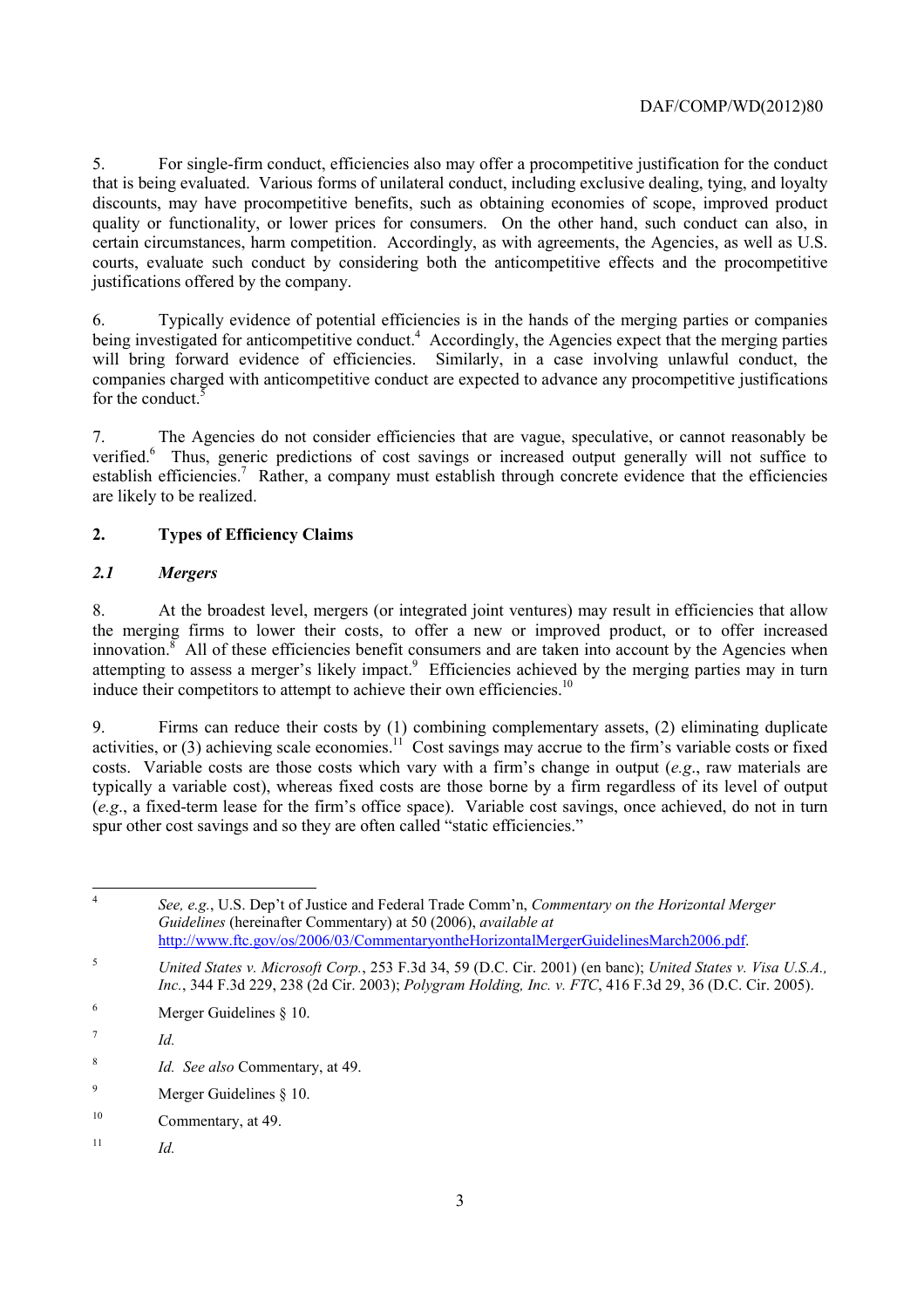5. For single-firm conduct, efficiencies also may offer a procompetitive justification for the conduct that is being evaluated. Various forms of unilateral conduct, including exclusive dealing, tying, and loyalty discounts, may have procompetitive benefits, such as obtaining economies of scope, improved product quality or functionality, or lower prices for consumers. On the other hand, such conduct can also, in certain circumstances, harm competition. Accordingly, as with agreements, the Agencies, as well as U.S. courts, evaluate such conduct by considering both the anticompetitive effects and the procompetitive justifications offered by the company.

 6. Typically evidence of potential efficiencies is in the hands of the merging parties or companies being investigated for anticompetitive conduct.<sup>4</sup> Accordingly, the Agencies expect that the merging parties will bring forward evidence of efficiencies. Similarly, in a case involving unlawful conduct, the companies charged with anticompetitive conduct are expected to advance any procompetitive justifications for the conduct.<sup>5</sup>

7. The Agencies do not consider efficiencies that are vague, speculative, or cannot reasonably be verified.<sup>6</sup> Thus, generic predictions of cost savings or increased output generally will not suffice to establish efficiencies.<sup>7</sup> Rather, a company must establish through concrete evidence that the efficiencies are likely to be realized.

#### **2. Types of Efficiency Claims**

#### *2.1 Mergers*

8. At the broadest level, mergers (or integrated joint ventures) may result in efficiencies that allow the merging firms to lower their costs, to offer a new or improved product, or to offer increased innovation. All of these efficiencies benefit consumers and are taken into account by the Agencies when attempting to assess a merger's likely impact.<sup>9</sup> Efficiencies achieved by the merging parties may in turn induce their competitors to attempt to achieve their own efficiencies.<sup>10</sup>

 9. Firms can reduce their costs by (1) combining complementary assets, (2) eliminating duplicate activities, or (3) achieving scale economies.<sup>11</sup> Cost savings may accrue to the firm's variable costs or fixed costs. Variable costs are those costs which vary with a firm's change in output (*e.g*., raw materials are typically a variable cost), whereas fixed costs are those borne by a firm regardless of its level of output (*e.g*., a fixed-term lease for the firm's office space). Variable cost savings, once achieved, do not in turn spur other cost savings and so they are often called "static efficiencies."

 <sup>4</sup>*See, e.g.*, U.S. Dep't of Justice and Federal Trade Comm'n, *Commentary on the Horizontal Merger Guidelines* (hereinafter Commentary) at 50 (2006), *available at*  http://www.ftc.gov/os/2006/03/CommentaryontheHorizontalMergerGuidelinesMarch2006.pdf.

 $11$  *Id.* 

<sup>5</sup> <sup>5</sup>*United States v. Microsoft Corp.*, 253 F.3d 34, 59 (D.C. Cir. 2001) (en banc); *United States v. Visa U.S.A., Inc.*, 344 F.3d 229, 238 (2d Cir. 2003); *Polygram Holding, Inc. v. FTC*, 416 F.3d 29, 36 (D.C. Cir. 2005).

 $6 \qquad$  Merger Guidelines  $§$  10.

 $\frac{7}{10}$  *Id.* 

<sup>8</sup>*Id. See also* Commentary, at 49.

<sup>9</sup> Merger Guidelines § 10.

 $10$ Commentary, at 49.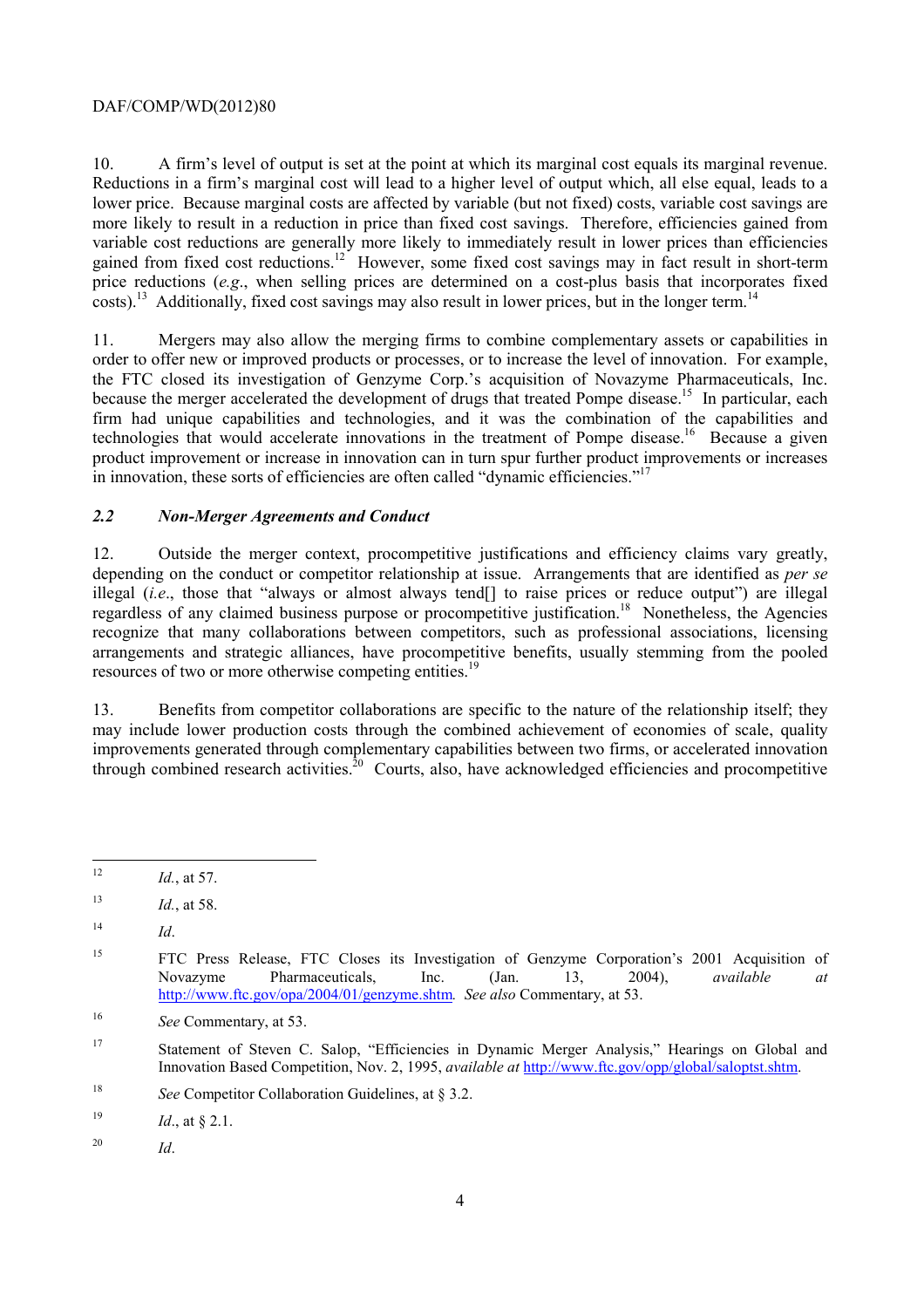A firm's level of output is set at the point at which its marginal cost equals its marginal revenue. 10. A firm's level of output is set at the point at which its marginal cost equals its marginal revenue. Reductions in a firm's marginal cost will lead to a higher level of output which, all else equal, leads to a lower price. Because marginal costs are affected by variable (but not fixed) costs, variable cost savings are  $\csc 13$  Additionally, fixed cost savings may also result in lower prices, but in the longer term.<sup>14</sup> more likely to result in a reduction in price than fixed cost savings. Therefore, efficiencies gained from variable cost reductions are generally more likely to immediately result in lower prices than efficiencies gained from fixed cost reductions.<sup>12</sup> However, some fixed cost savings may in fact result in short-term price reductions (*e.g.*, when selling prices are determined on a cost-plus basis that incorporates fixed

in innovation, these sorts of efficiencies are often called "dynamic efficiencies."<sup>17</sup> 11. Mergers may also allow the merging firms to combine complementary assets or capabilities in order to offer new or improved products or processes, or to increase the level of innovation. For example, the FTC closed its investigation of Genzyme Corp.'s acquisition of Novazyme Pharmaceuticals, Inc. because the merger accelerated the development of drugs that treated Pompe disease.<sup>15</sup> In particular, each firm had unique capabilities and technologies, and it was the combination of the capabilities and technologies that would accelerate innovations in the treatment of Pompe disease.<sup>16</sup> Because a given product improvement or increase in innovation can in turn spur further product improvements or increases

#### *2.2 Non-Merger Agreements and Conduct*

resources of two or more otherwise competing entities.<sup>19</sup> 12. Outside the merger context, procompetitive justifications and efficiency claims vary greatly, depending on the conduct or competitor relationship at issue. Arrangements that are identified as *per se*  illegal (*i.e.*, those that "always or almost always tend[] to raise prices or reduce output") are illegal regardless of any claimed business purpose or procompetitive justification.<sup>18</sup> Nonetheless, the Agencies recognize that many collaborations between competitors, such as professional associations, licensing arrangements and strategic alliances, have procompetitive benefits, usually stemming from the pooled

13. Benefits from competitor collaborations are specific to the nature of the relationship itself; they may include lower production costs through the combined achievement of economies of scale, quality improvements generated through complementary capabilities between two firms, or accelerated innovation through combined research activities.20 Courts, also, have acknowledged efficiencies and procompetitive

 $\overline{a}$ 

<sup>20</sup>*Id*.

<sup>12</sup>*Id.*, at 57.

<sup>13</sup>*Id.*, at 58.

<sup>14</sup>*Id*.

<sup>15</sup>  http://www.ftc.gov/opa/2004/01/genzyme.shtm*. See also* Commentary, at 53. 15 FTC Press Release, FTC Closes its Investigation of Genzyme Corporation's 2001 Acquisition of Novazyme Pharmaceuticals, Inc. (Jan. 13, 2004), *available at* 

<sup>16</sup> See Commentary, at 53.

<sup>17</sup> Statement of Steven C. Salop, "Efficiencies in Dynamic Merger Analysis," Hearings on Global and Innovation Based Competition, Nov. 2, 1995, *available at* http://www.ftc.gov/opp/global/saloptst.shtm.

<sup>18</sup> See Competitor Collaboration Guidelines, at § 3.2.

<sup>19</sup> *Id.*, at § 2.1.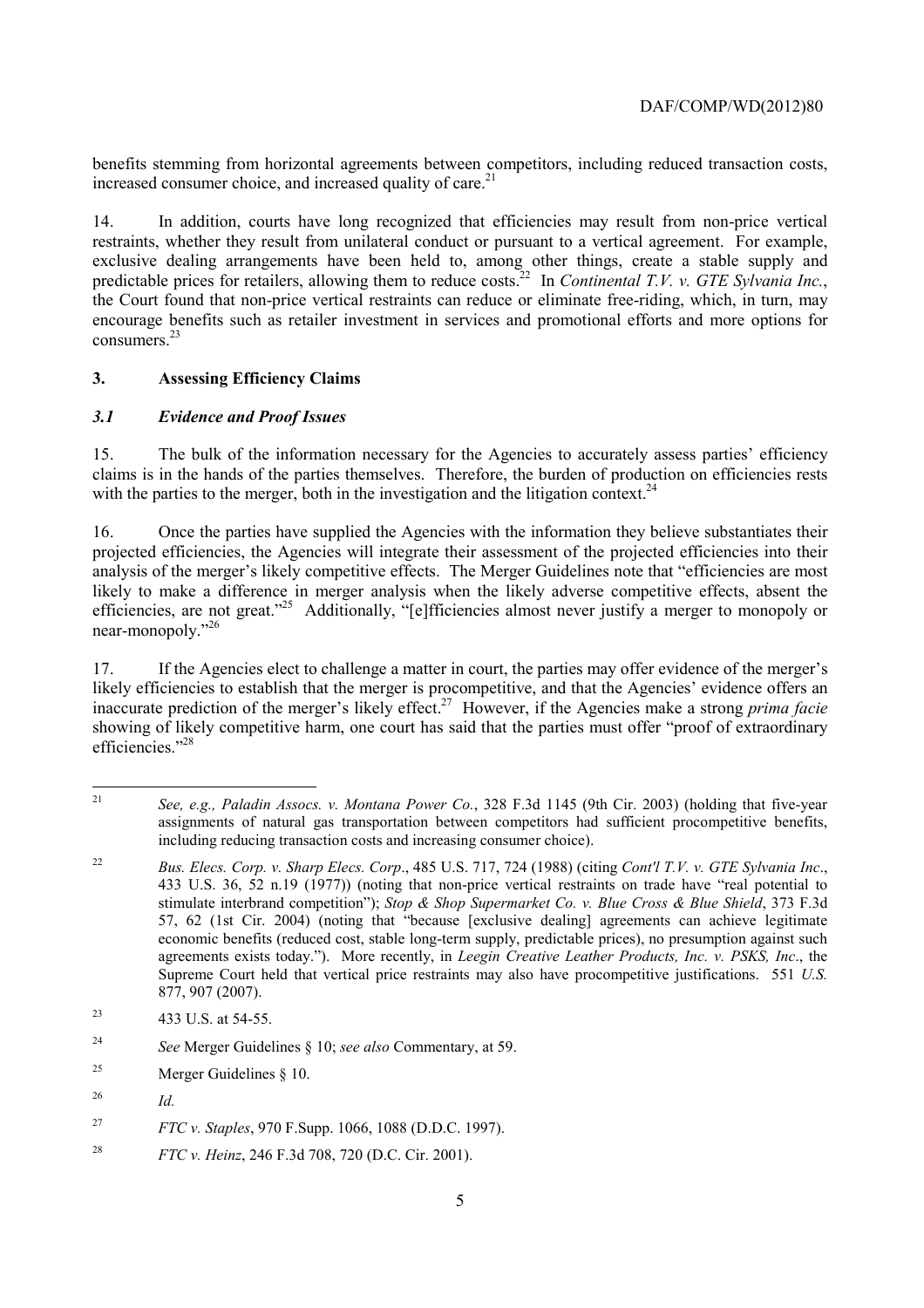benefits stemming from horizontal agreements between competitors, including reduced transaction costs, increased consumer choice, and increased quality of care.<sup>21</sup>

predictable prices for retailers, allowing them to reduce costs.<sup>22</sup> In *Continental T.V. v. GTE Sylvania Inc.*, consumers.<sup>23</sup> 14. In addition, courts have long recognized that efficiencies may result from non-price vertical restraints, whether they result from unilateral conduct or pursuant to a vertical agreement. For example, exclusive dealing arrangements have been held to, among other things, create a stable supply and the Court found that non-price vertical restraints can reduce or eliminate free-riding, which, in turn, may encourage benefits such as retailer investment in services and promotional efforts and more options for

#### **3. Assessing Efficiency Claims**

#### *3.1 Evidence and Proof Issues*

15. The bulk of the information necessary for the Agencies to accurately assess parties' efficiency claims is in the hands of the parties themselves. Therefore, the burden of production on efficiencies rests with the parties to the merger, both in the investigation and the litigation context.<sup>24</sup>

16. Once the parties have supplied the Agencies with the information they believe substantiates their projected efficiencies, the Agencies will integrate their assessment of the projected efficiencies into their analysis of the merger's likely competitive effects. The Merger Guidelines note that "efficiencies are most likely to make a difference in merger analysis when the likely adverse competitive effects, absent the efficiencies, are not great."25 Additionally, "[e]fficiencies almost never justify a merger to monopoly or near-monopoly."<sup>26</sup>

17. If the Agencies elect to challenge a matter in court, the parties may offer evidence of the merger's likely efficiencies to establish that the merger is procompetitive, and that the Agencies' evidence offers an inaccurate prediction of the merger's likely effect.27 However, if the Agencies make a strong *prima facie*  showing of likely competitive harm, one court has said that the parties must offer "proof of extraordinary efficiencies<sup>"28</sup>

 $21$ <sup>21</sup>*See, e.g., Paladin Assocs. v. Montana Power Co.*, 328 F.3d 1145 (9th Cir. 2003) (holding that five-year assignments of natural gas transportation between competitors had sufficient procompetitive benefits, including reducing transaction costs and increasing consumer choice).

 $22$  stimulate interbrand competition"); *Stop & Shop Supermarket Co. v. Blue Cross & Blue Shield*, 373 F.3d <sup>22</sup>*Bus. Elecs. Corp. v. Sharp Elecs. Corp*., 485 U.S. 717, 724 (1988) (citing *Cont'l T.V. v. GTE Sylvania Inc*., 433 U.S. 36, 52 n.19 (1977)) (noting that non-price vertical restraints on trade have "real potential to 57, 62 (1st Cir. 2004) (noting that "because [exclusive dealing] agreements can achieve legitimate economic benefits (reduced cost, stable long-term supply, predictable prices), no presumption against such agreements exists today."). More recently, in *Leegin Creative Leather Products, Inc. v. PSKS, Inc*., the Supreme Court held that vertical price restraints may also have procompetitive justifications. 551 *U.S.*  877, 907 (2007).

<sup>23 433</sup> U.S. at 54-55.

 $24$ <sup>24</sup>*See* Merger Guidelines § 10; *see also* Commentary, at 59.

<sup>&</sup>lt;sup>25</sup> Merger Guidelines  $\delta$  10.

<sup>26</sup> *Id.* 

<sup>27</sup>*FTC v. Staples*, 970 F.Supp. 1066, 1088 (D.D.C. 1997).

<sup>28</sup> <sup>28</sup>*FTC v. Heinz*, 246 F.3d 708, 720 (D.C. Cir. 2001).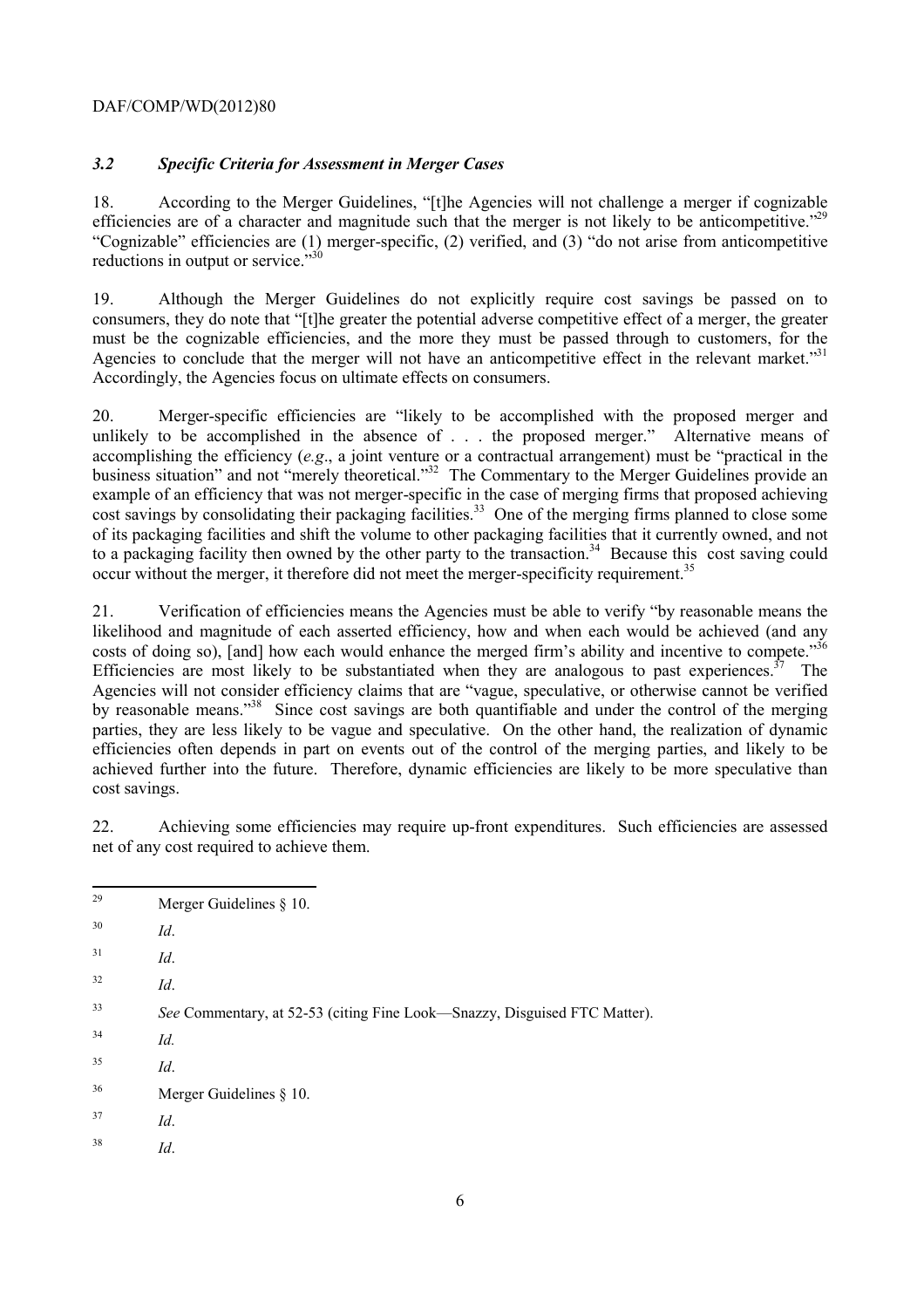#### *3.2 Specific Criteria for Assessment in Merger Cases*

 18. According to the Merger Guidelines, "[t]he Agencies will not challenge a merger if cognizable efficiencies are of a character and magnitude such that the merger is not likely to be anticompetitive."<sup>29</sup> "Cognizable" efficiencies are (1) merger-specific, (2) verified, and (3) "do not arise from anticompetitive reductions in output or service. $\cdot^{330}$ 

Agencies to conclude that the merger will not have an anticompetitive effect in the relevant market."<sup>31</sup> 19. Although the Merger Guidelines do not explicitly require cost savings be passed on to consumers, they do note that "[t]he greater the potential adverse competitive effect of a merger, the greater must be the cognizable efficiencies, and the more they must be passed through to customers, for the Accordingly, the Agencies focus on ultimate effects on consumers.

 accomplishing the efficiency (*e.g*., a joint venture or a contractual arrangement) must be "practical in the business situation" and not "merely theoretical."<sup>32</sup> The Commentary to the Merger Guidelines provide an 20. Merger-specific efficiencies are "likely to be accomplished with the proposed merger and unlikely to be accomplished in the absence of . . . the proposed merger." Alternative means of example of an efficiency that was not merger-specific in the case of merging firms that proposed achieving cost savings by consolidating their packaging facilities.<sup>33</sup> One of the merging firms planned to close some of its packaging facilities and shift the volume to other packaging facilities that it currently owned, and not to a packaging facility then owned by the other party to the transaction.<sup>34</sup> Because this cost saving could occur without the merger, it therefore did not meet the merger-specificity requirement.<sup>35</sup>

costs of doing so), [and] how each would enhance the merged firm's ability and incentive to compete."  $36$ 21. Verification of efficiencies means the Agencies must be able to verify "by reasonable means the likelihood and magnitude of each asserted efficiency, how and when each would be achieved (and any Efficiencies are most likely to be substantiated when they are analogous to past experiences.<sup>37</sup> The Agencies will not consider efficiency claims that are "vague, speculative, or otherwise cannot be verified by reasonable means."<sup>38</sup> Since cost savings are both quantifiable and under the control of the merging parties, they are less likely to be vague and speculative. On the other hand, the realization of dynamic efficiencies often depends in part on events out of the control of the merging parties, and likely to be achieved further into the future. Therefore, dynamic efficiencies are likely to be more speculative than cost savings.

22. Achieving some efficiencies may require up-front expenditures. Such efficiencies are assessed net of any cost required to achieve them.

- $\overline{a}$ Merger Guidelines § 10.
- $30$ <sup>30</sup>*Id*.
- $^{31}$  *Id.*
- $32$ <sup>32</sup>*Id*.

- $^{34}$  *Id.*
- <sup>35</sup>*Id*.
- 36 Merger Guidelines § 10.
- 37 <sup>37</sup>*Id*.
- <sup>38</sup>*Id*.

<sup>33</sup> <sup>33</sup>*See* Commentary, at 52-53 (citing Fine Look—Snazzy, Disguised FTC Matter).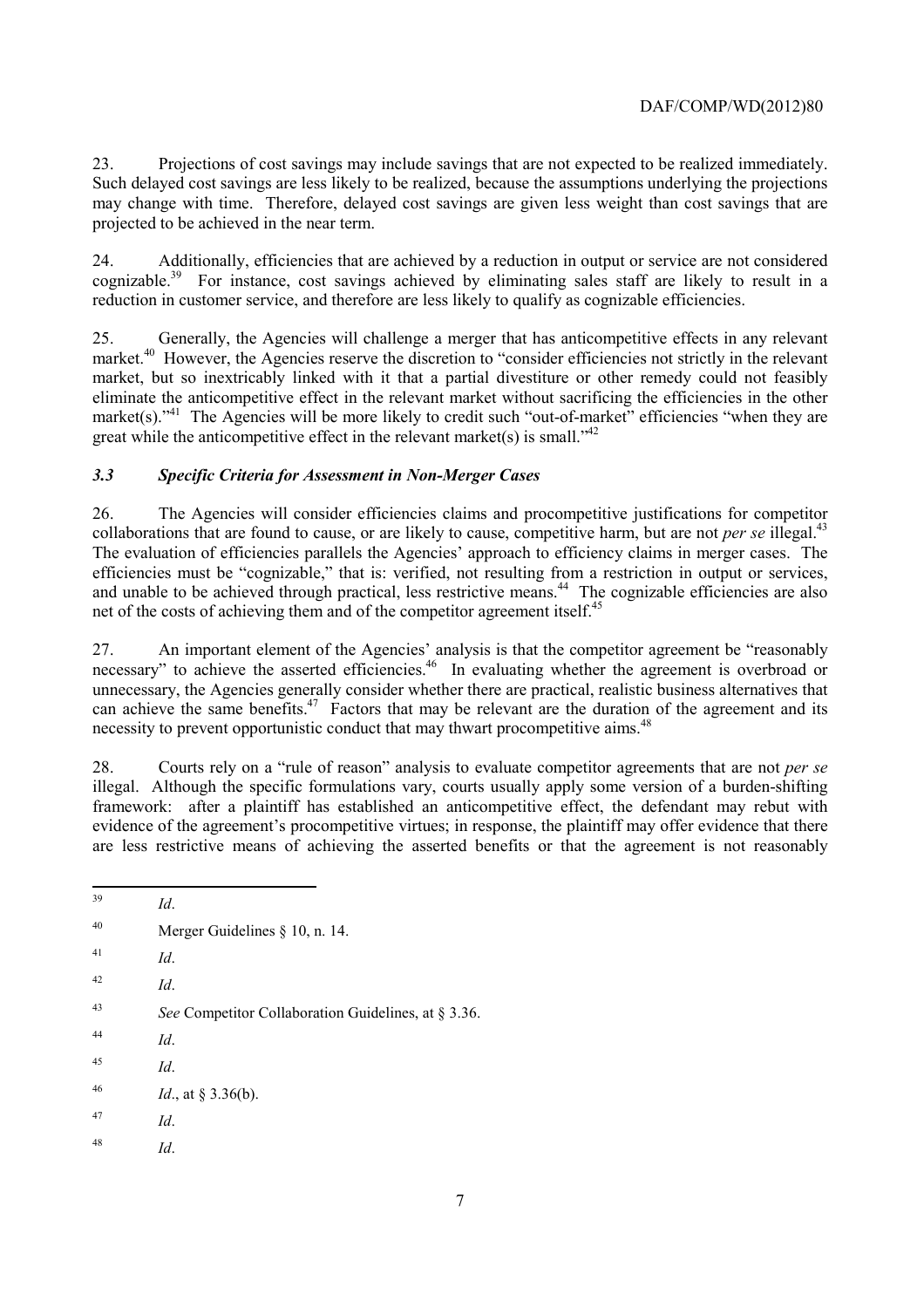Projections of cost savings may include savings that are not expected to be realized immediately. 23. Projections of cost savings may include savings that are not expected to be realized immediately. Such delayed cost savings are less likely to be realized, because the assumptions underlying the projections may change with time. Therefore, delayed cost savings are given less weight than cost savings that are projected to be achieved in the near term.

24. Additionally, efficiencies that are achieved by a reduction in output or service are not considered cognizable.<sup>39</sup> For instance, cost savings achieved by eliminating sales staff are likely to result in a reduction in customer service, and therefore are less likely to qualify as cognizable efficiencies.

great while the anticompetitive effect in the relevant market(s) is small.<sup> $342$ </sup> 25. Generally, the Agencies will challenge a merger that has anticompetitive effects in any relevant market.<sup>40</sup> However, the Agencies reserve the discretion to "consider efficiencies not strictly in the relevant market, but so inextricably linked with it that a partial divestiture or other remedy could not feasibly eliminate the anticompetitive effect in the relevant market without sacrificing the efficiencies in the other market(s)."<sup>41</sup> The Agencies will be more likely to credit such "out-of-market" efficiencies "when they are

### *3.3 Specific Criteria for Assessment in Non-Merger Cases*

collaborations that are found to cause, or are likely to cause, competitive harm, but are not *per se* illegal.<sup>43</sup> 26. The Agencies will consider efficiencies claims and procompetitive justifications for competitor The evaluation of efficiencies parallels the Agencies' approach to efficiency claims in merger cases. The efficiencies must be "cognizable," that is: verified, not resulting from a restriction in output or services, and unable to be achieved through practical, less restrictive means.<sup>44</sup> The cognizable efficiencies are also net of the costs of achieving them and of the competitor agreement itself.<sup>45</sup>

necessity to prevent opportunistic conduct that may thwart procompetitive aims.<sup>48</sup> 27. An important element of the Agencies' analysis is that the competitor agreement be "reasonably necessary" to achieve the asserted efficiencies.<sup>46</sup> In evaluating whether the agreement is overbroad or unnecessary, the Agencies generally consider whether there are practical, realistic business alternatives that can achieve the same benefits.<sup>47</sup> Factors that may be relevant are the duration of the agreement and its

 evidence of the agreement's procompetitive virtues; in response, the plaintiff may offer evidence that there 28. Courts rely on a "rule of reason" analysis to evaluate competitor agreements that are not *per se*  illegal. Although the specific formulations vary, courts usually apply some version of a burden-shifting framework: after a plaintiff has established an anticompetitive effect, the defendant may rebut with are less restrictive means of achieving the asserted benefits or that the agreement is not reasonably

- <sup>41</sup>*Id*.
- <sup>42</sup>*Id*.
- 43 <sup>43</sup>*See* Competitor Collaboration Guidelines, at § 3.36.
- <sup>44</sup>*Id*.
- <sup>45</sup>*Id*.
- 46 *Id.*, at § 3.36(b).
- 47 <sup>47</sup>*Id*.
- <sup>48</sup>*Id*.

 $\overline{a}$ <sup>39</sup>*Id*.

 $40$ Merger Guidelines § 10, n. 14.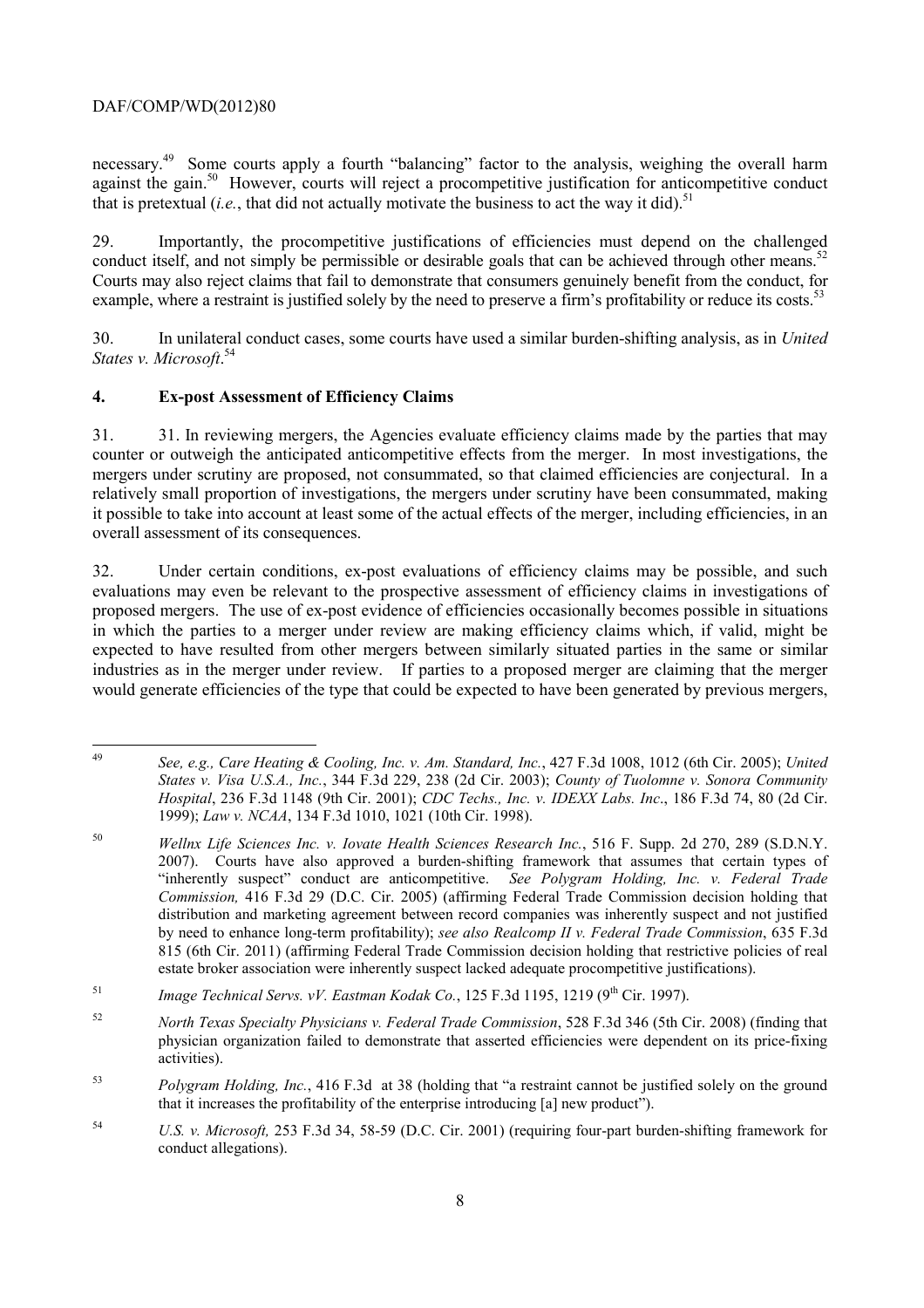that is pretextual  $(i.e.,$  that did not actually motivate the business to act the way it did).<sup>51</sup> necessary.<sup>49</sup> Some courts apply a fourth "balancing" factor to the analysis, weighing the overall harm against the gain.<sup>50</sup> However, courts will reject a procompetitive justification for anticompetitive conduct

conduct itself, and not simply be permissible or desirable goals that can be achieved through other means.<sup>52</sup> example, where a restraint is justified solely by the need to preserve a firm's profitability or reduce its costs.<sup>53</sup> 29. Importantly, the procompetitive justifications of efficiencies must depend on the challenged Courts may also reject claims that fail to demonstrate that consumers genuinely benefit from the conduct, for

 *States v. Microsoft*. 54 30. In unilateral conduct cases, some courts have used a similar burden-shifting analysis, as in *United* 

#### **4. Ex-post Assessment of Efficiency Claims**

31. 31. In reviewing mergers, the Agencies evaluate efficiency claims made by the parties that may counter or outweigh the anticipated anticompetitive effects from the merger. In most investigations, the mergers under scrutiny are proposed, not consummated, so that claimed efficiencies are conjectural. In a relatively small proportion of investigations, the mergers under scrutiny have been consummated, making it possible to take into account at least some of the actual effects of the merger, including efficiencies, in an overall assessment of its consequences.

32. Under certain conditions, ex-post evaluations of efficiency claims may be possible, and such evaluations may even be relevant to the prospective assessment of efficiency claims in investigations of proposed mergers. The use of ex-post evidence of efficiencies occasionally becomes possible in situations in which the parties to a merger under review are making efficiency claims which, if valid, might be expected to have resulted from other mergers between similarly situated parties in the same or similar industries as in the merger under review. If parties to a proposed merger are claiming that the merger would generate efficiencies of the type that could be expected to have been generated by previous mergers,

 <sup>49</sup>*See, e.g., Care Heating & Cooling, Inc. v. Am. Standard, Inc.*, 427 F.3d 1008, 1012 (6th Cir. 2005); *United States v. Visa U.S.A., Inc.*, 344 F.3d 229, 238 (2d Cir. 2003); *County of Tuolomne v. Sonora Community Hospital*, 236 F.3d 1148 (9th Cir. 2001); *CDC Techs., Inc. v. IDEXX Labs. Inc*., 186 F.3d 74, 80 (2d Cir. 1999); *Law v. NCAA*, 134 F.3d 1010, 1021 (10th Cir. 1998).

 2007). Courts have also approved a burden-shifting framework that assumes that certain types of <sup>50</sup>*Wellnx Life Sciences Inc. v. Iovate Health Sciences Research Inc.*, 516 F. Supp. 2d 270, 289 (S.D.N.Y. "inherently suspect" conduct are anticompetitive. *See Polygram Holding, Inc. v. Federal Trade Commission,* 416 F.3d 29 (D.C. Cir. 2005) (affirming Federal Trade Commission decision holding that distribution and marketing agreement between record companies was inherently suspect and not justified by need to enhance long-term profitability); *see also Realcomp II v. Federal Trade Commission*, 635 F.3d 815 (6th Cir. 2011) (affirming Federal Trade Commission decision holding that restrictive policies of real estate broker association were inherently suspect lacked adequate procompetitive justifications).

<sup>&</sup>lt;sup>51</sup> *Image Technical Servs. vV. Eastman Kodak Co.*, 125 F.3d 1195, 1219 (9<sup>th</sup> Cir. 1997).

<sup>52</sup>*North Texas Specialty Physicians v. Federal Trade Commission*, 528 F.3d 346 (5th Cir. 2008) (finding that physician organization failed to demonstrate that asserted efficiencies were dependent on its price-fixing activities).

<sup>53</sup> <sup>53</sup>*Polygram Holding, Inc.*, 416 F.3d at 38 (holding that "a restraint cannot be justified solely on the ground that it increases the profitability of the enterprise introducing [a] new product").

<sup>54</sup> <sup>54</sup>*U.S. v. Microsoft,* 253 F.3d 34, 58-59 (D.C. Cir. 2001) (requiring four-part burden-shifting framework for conduct allegations).